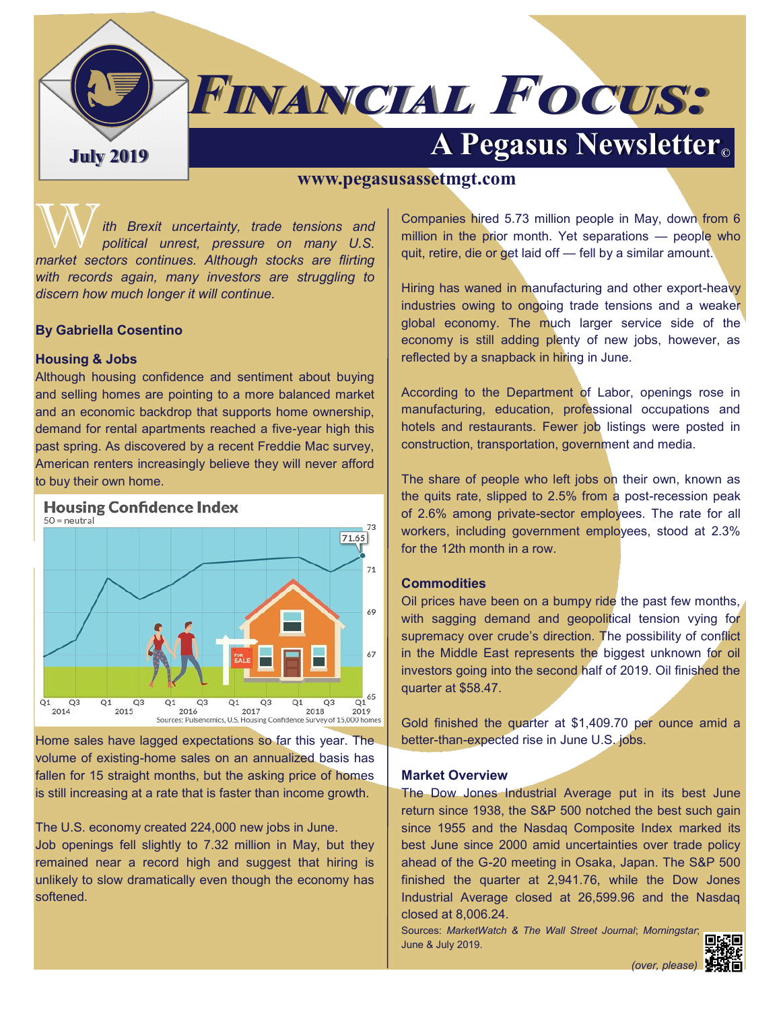

# **FINANCIAL FOCUS:**

## **A Pegasus Newsletter C**

#### **www.pegasusassetmgt.com**

With Brexit uncertainty, trade tensions and political unrest, pressure on many U.S. *market sectors continues. Although stocks are flirting with records again, many investors are struggling to discern how much longer it will continue.* 

#### **By Gabriella Cosentino**

#### **Housing & Jobs**

Although housing confidence and sentiment about buying and selling homes are pointing to a more balanced market and an economic backdrop that supports home ownership, demand for rental apartments reached a five-year high this past spring. As discovered by a recent Freddie Mac survey, American renters increasingly believe they will never afford to buy their own home.



Home sales have lagged expectations so far this year. The volume of existing-home sales on an annualized basis has fallen for 15 straight months, but the asking price of homes is still increasing at a rate that is faster than income growth.

The U.S. economy created 224,000 new jobs in June. Job openings fell slightly to 7.32 million in May, but they remained near a record high and suggest that hiring is unlikely to slow dramatically even though the economy has softened.

Companies hired 5.73 million people in May, down from 6 million in the prior month. Yet separations — people who quit, retire, die or get laid off — fell by a similar amount.

Hiring has waned in manufacturing and other export-heavy industries owing to ongoing trade tensions and a weaker global economy. The much larger service side of the economy is still adding plenty of new jobs, however, as reflected by a snapback in hiring in June.

According to the Department of Labor, openings rose in manufacturing, education, professional occupations and hotels and restaurants. Fewer job listings were posted in construction, transportation, government and media.

The share of people who left jobs on their own, known as the quits rate, slipped to 2.5% from a post-recession peak of 2.6% among private-sector employees. The rate for all workers, including government employees, stood at 2.3% for the 12th month in a row.

#### **Commodities**

Oil prices have been on a bumpy ride the past few months, with sagging demand and geopolitical tension vying for supremacy over crude's direction. The possibility of conflict in the Middle East represents the biggest unknown for oil investors going into the second half of 2019. Oil finished the quarter at \$58.47.

Gold finished the quarter at \$1,409.70 per ounce amid a better-than-expected rise in June U.S. jobs.

#### **Market Overview**

The Dow Jones Industrial Average put in its best June return since 1938, the S&P 500 notched the best such gain since 1955 and the Nasdaq Composite Index marked its best June since 2000 amid uncertainties over trade policy ahead of the G-20 meeting in Osaka, Japan. The S&P 500 finished the quarter at 2,941.76, while the Dow Jones Industrial Average closed at 26,599.96 and the Nasdaq closed at 8,006.24.

Sources: *MarketWatch & The Wall Street Journal*; *Morningstar*; June & July 2019.